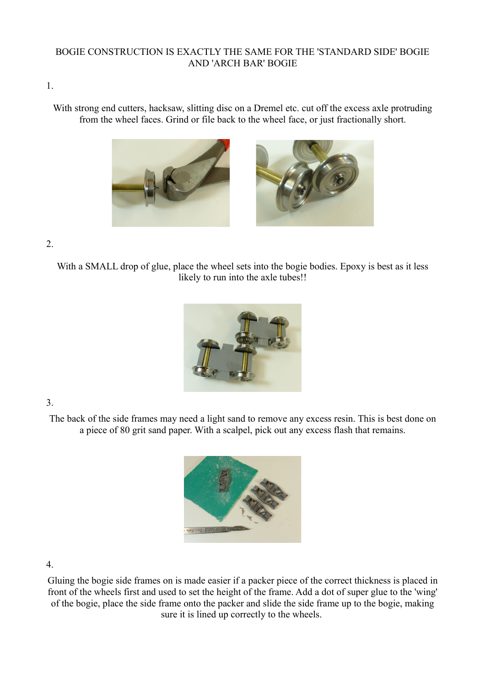## BOGIE CONSTRUCTION IS EXACTLY THE SAME FOR THE 'STANDARD SIDE' BOGIE AND 'ARCH BAR' BOGIE

1.

With strong end cutters, hacksaw, slitting disc on a Dremel etc. cut off the excess axle protruding from the wheel faces. Grind or file back to the wheel face, or just fractionally short.



2.

With a SMALL drop of glue, place the wheel sets into the bogie bodies. Epoxy is best as it less likely to run into the axle tubes!!



3.

The back of the side frames may need a light sand to remove any excess resin. This is best done on a piece of 80 grit sand paper. With a scalpel, pick out any excess flash that remains.



4.

Gluing the bogie side frames on is made easier if a packer piece of the correct thickness is placed in front of the wheels first and used to set the height of the frame. Add a dot of super glue to the 'wing' of the bogie, place the side frame onto the packer and slide the side frame up to the bogie, making sure it is lined up correctly to the wheels.